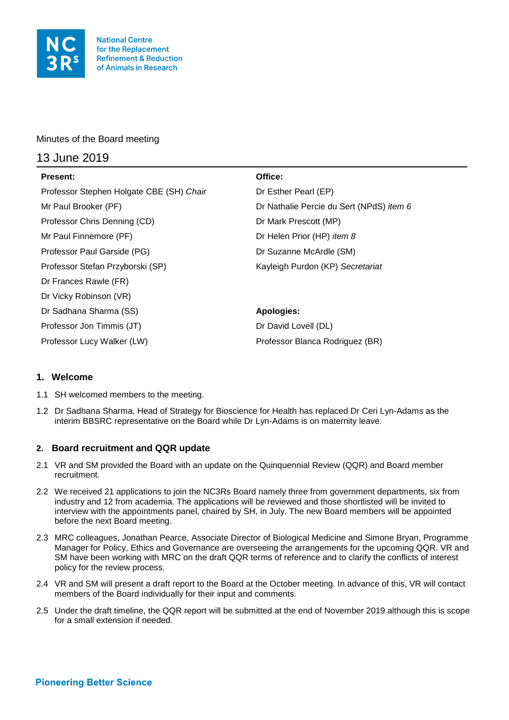

# Minutes of the Board meeting

# 13 June 2019

| <b>Present:</b>                          | Office:                                  |
|------------------------------------------|------------------------------------------|
| Professor Stephen Holgate CBE (SH) Chair | Dr Esther Pearl (EP)                     |
| Mr Paul Brooker (PF)                     | Dr Nathalie Percie du Sert (NPdS) item 6 |
| Professor Chris Denning (CD)             | Dr Mark Prescott (MP)                    |
| Mr Paul Finnemore (PF)                   | Dr Helen Prior (HP) <i>item 8</i>        |
| Professor Paul Garside (PG)              | Dr Suzanne McArdle (SM)                  |
| Professor Stefan Przyborski (SP)         | Kayleigh Purdon (KP) Secretariat         |
| Dr Frances Rawle (FR)                    |                                          |
| Dr Vicky Robinson (VR)                   |                                          |
| Dr Sadhana Sharma (SS)                   | <b>Apologies:</b>                        |
| Professor Jon Timmis (JT)                | Dr David Lovell (DL)                     |
| Professor Lucy Walker (LW)               | Professor Blanca Rodriguez (BR)          |

# **1. Welcome**

- 1.1 SH welcomed members to the meeting.
- 1.2 Dr Sadhana Sharma, Head of Strategy for Bioscience for Health has replaced Dr Ceri Lyn-Adams as the interim BBSRC representative on the Board while Dr Lyn-Adams is on maternity leave.

# **2. Board recruitment and QQR update**

- 2.1 VR and SM provided the Board with an update on the Quinquennial Review (QQR) and Board member recruitment.
- 2.2 We received 21 applications to join the NC3Rs Board namely three from government departments, six from industry and 12 from academia. The applications will be reviewed and those shortlisted will be invited to interview with the appointments panel, chaired by SH, in July. The new Board members will be appointed before the next Board meeting.
- 2.3 MRC colleagues, Jonathan Pearce, Associate Director of Biological Medicine and Simone Bryan, Programme Manager for Policy, Ethics and Governance are overseeing the arrangements for the upcoming QQR. VR and SM have been working with MRC on the draft QQR terms of reference and to clarify the conflicts of interest policy for the review process.
- 2.4 VR and SM will present a draft report to the Board at the October meeting. In advance of this, VR will contact members of the Board individually for their input and comments.
- 2.5 Under the draft timeline, the QQR report will be submitted at the end of November 2019 although this is scope for a small extension if needed.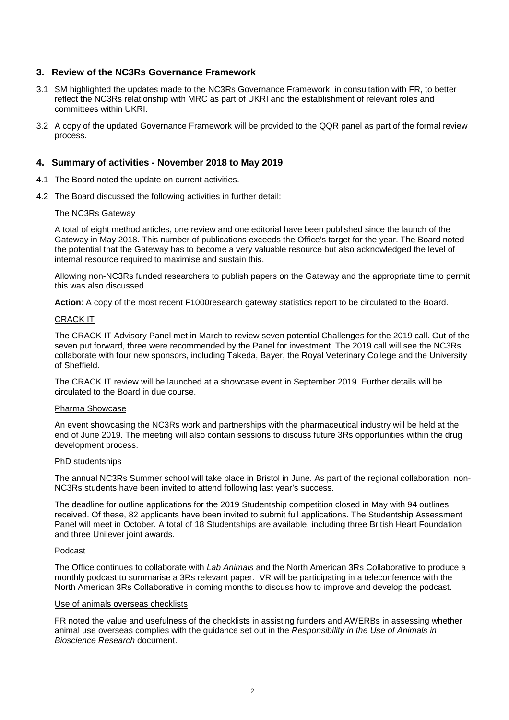### **3. Review of the NC3Rs Governance Framework**

- 3.1 SM highlighted the updates made to the NC3Rs Governance Framework, in consultation with FR, to better reflect the NC3Rs relationship with MRC as part of UKRI and the establishment of relevant roles and committees within UKRI.
- 3.2 A copy of the updated Governance Framework will be provided to the QQR panel as part of the formal review process.

### **4. Summary of activities - November 2018 to May 2019**

- 4.1 The Board noted the update on current activities.
- 4.2 The Board discussed the following activities in further detail:

#### The NC3Rs Gateway

A total of eight method articles, one review and one editorial have been published since the launch of the Gateway in May 2018. This number of publications exceeds the Office's target for the year. The Board noted the potential that the Gateway has to become a very valuable resource but also acknowledged the level of internal resource required to maximise and sustain this.

Allowing non-NC3Rs funded researchers to publish papers on the Gateway and the appropriate time to permit this was also discussed.

**Action**: A copy of the most recent F1000research gateway statistics report to be circulated to the Board.

#### CRACK IT

The CRACK IT Advisory Panel met in March to review seven potential Challenges for the 2019 call. Out of the seven put forward, three were recommended by the Panel for investment. The 2019 call will see the NC3Rs collaborate with four new sponsors, including Takeda, Bayer, the Royal Veterinary College and the University of Sheffield.

The CRACK IT review will be launched at a showcase event in September 2019. Further details will be circulated to the Board in due course.

#### Pharma Showcase

An event showcasing the NC3Rs work and partnerships with the pharmaceutical industry will be held at the end of June 2019. The meeting will also contain sessions to discuss future 3Rs opportunities within the drug development process.

#### PhD studentships

The annual NC3Rs Summer school will take place in Bristol in June. As part of the regional collaboration, non-NC3Rs students have been invited to attend following last year's success.

The deadline for outline applications for the 2019 Studentship competition closed in May with 94 outlines received. Of these, 82 applicants have been invited to submit full applications. The Studentship Assessment Panel will meet in October. A total of 18 Studentships are available, including three British Heart Foundation and three Unilever joint awards.

#### Podcast

The Office continues to collaborate with *Lab Animals* and the North American 3Rs Collaborative to produce a monthly podcast to summarise a 3Rs relevant paper. VR will be participating in a teleconference with the North American 3Rs Collaborative in coming months to discuss how to improve and develop the podcast.

#### Use of animals overseas checklists

FR noted the value and usefulness of the checklists in assisting funders and AWERBs in assessing whether animal use overseas complies with the guidance set out in the *Responsibility in the Use of Animals in Bioscience Research* document.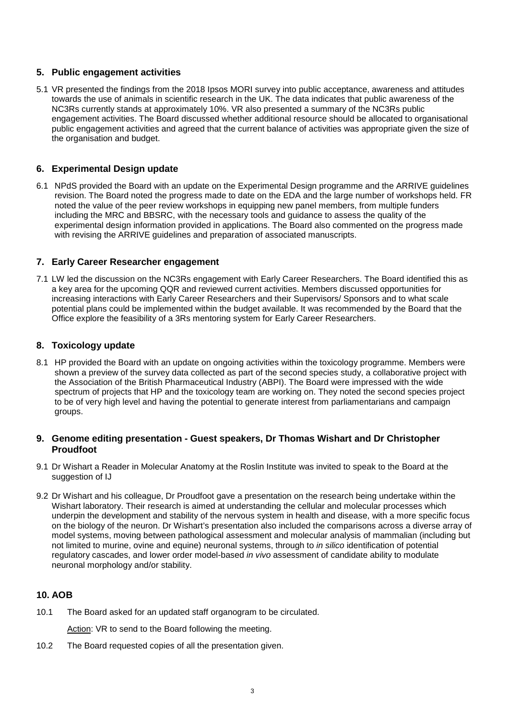# **5. Public engagement activities**

5.1 VR presented the findings from the 2018 Ipsos MORI survey into public acceptance, awareness and attitudes towards the use of animals in scientific research in the UK. The data indicates that public awareness of the NC3Rs currently stands at approximately 10%. VR also presented a summary of the NC3Rs public engagement activities. The Board discussed whether additional resource should be allocated to organisational public engagement activities and agreed that the current balance of activities was appropriate given the size of the organisation and budget.

### **6. Experimental Design update**

6.1 NPdS provided the Board with an update on the Experimental Design programme and the ARRIVE guidelines revision. The Board noted the progress made to date on the EDA and the large number of workshops held. FR noted the value of the peer review workshops in equipping new panel members, from multiple funders including the MRC and BBSRC, with the necessary tools and guidance to assess the quality of the experimental design information provided in applications. The Board also commented on the progress made with revising the ARRIVE guidelines and preparation of associated manuscripts.

### **7. Early Career Researcher engagement**

7.1 LW led the discussion on the NC3Rs engagement with Early Career Researchers. The Board identified this as a key area for the upcoming QQR and reviewed current activities. Members discussed opportunities for increasing interactions with Early Career Researchers and their Supervisors/ Sponsors and to what scale potential plans could be implemented within the budget available. It was recommended by the Board that the Office explore the feasibility of a 3Rs mentoring system for Early Career Researchers.

#### **8. Toxicology update**

8.1 HP provided the Board with an update on ongoing activities within the toxicology programme. Members were shown a preview of the survey data collected as part of the second species study, a collaborative project with the Association of the British Pharmaceutical Industry (ABPI). The Board were impressed with the wide spectrum of projects that HP and the toxicology team are working on. They noted the second species project to be of very high level and having the potential to generate interest from parliamentarians and campaign groups.

### **9. Genome editing presentation - Guest speakers, Dr Thomas Wishart and Dr Christopher Proudfoot**

- 9.1 Dr Wishart a Reader in Molecular Anatomy at the Roslin Institute was invited to speak to the Board at the suggestion of IJ
- 9.2 Dr Wishart and his colleague, Dr Proudfoot gave a presentation on the research being undertake within the Wishart laboratory. Their research is aimed at understanding the cellular and molecular processes which underpin the development and stability of the nervous system in health and disease, with a more specific focus on the biology of the neuron. Dr Wishart's presentation also included the comparisons across a diverse array of model systems, moving between pathological assessment and molecular analysis of mammalian (including but not limited to murine, ovine and equine) neuronal systems, through to *in silico* identification of potential regulatory cascades, and lower order model-based *in vivo* assessment of candidate ability to modulate neuronal morphology and/or stability.

# **10. AOB**

10.1 The Board asked for an updated staff organogram to be circulated.

Action: VR to send to the Board following the meeting.

10.2 The Board requested copies of all the presentation given.